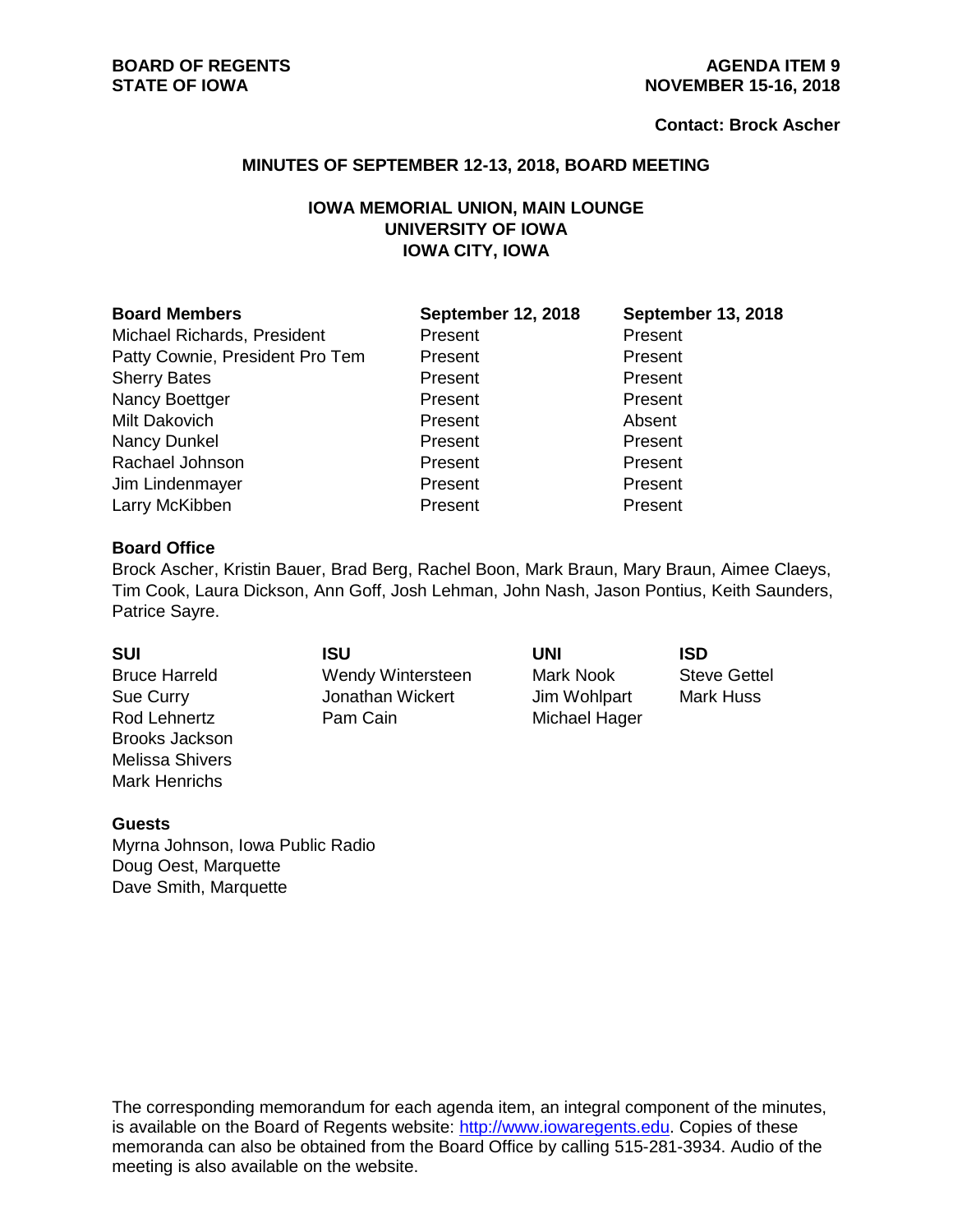#### **Contact: Brock Ascher**

#### **MINUTES OF SEPTEMBER 12-13, 2018, BOARD MEETING**

# **IOWA MEMORIAL UNION, MAIN LOUNGE UNIVERSITY OF IOWA IOWA CITY, IOWA**

| <b>Board Members</b>            | <b>September 12, 2018</b> | <b>September 13, 2018</b> |
|---------------------------------|---------------------------|---------------------------|
| Michael Richards, President     | Present                   | Present                   |
| Patty Cownie, President Pro Tem | Present                   | Present                   |
| <b>Sherry Bates</b>             | Present                   | Present                   |
| Nancy Boettger                  | Present                   | Present                   |
| Milt Dakovich                   | Present                   | Absent                    |
| Nancy Dunkel                    | Present                   | Present                   |
| Rachael Johnson                 | Present                   | Present                   |
| Jim Lindenmayer                 | Present                   | Present                   |
| Larry McKibben                  | Present                   | Present                   |

#### **Board Office**

Brock Ascher, Kristin Bauer, Brad Berg, Rachel Boon, Mark Braun, Mary Braun, Aimee Claeys, Tim Cook, Laura Dickson, Ann Goff, Josh Lehman, John Nash, Jason Pontius, Keith Saunders, Patrice Sayre.

| <b>SUI</b>             | ISU               | UNI           | <b>ISD</b>          |
|------------------------|-------------------|---------------|---------------------|
| <b>Bruce Harreld</b>   | Wendy Wintersteen | Mark Nook     | <b>Steve Gettel</b> |
| Sue Curry              | Jonathan Wickert  | Jim Wohlpart  | <b>Mark Huss</b>    |
| Rod Lehnertz           | Pam Cain          | Michael Hager |                     |
| <b>Brooks Jackson</b>  |                   |               |                     |
| <b>Melissa Shivers</b> |                   |               |                     |

#### **Guests**

Mark Henrichs

Myrna Johnson, Iowa Public Radio Doug Oest, Marquette Dave Smith, Marquette

The corresponding memorandum for each agenda item, an integral component of the minutes, is available on the Board of Regents website: [http://www.iowaregents.edu.](http://www.iowaregents.edu/) Copies of these memoranda can also be obtained from the Board Office by calling 515-281-3934. Audio of the meeting is also available on the website.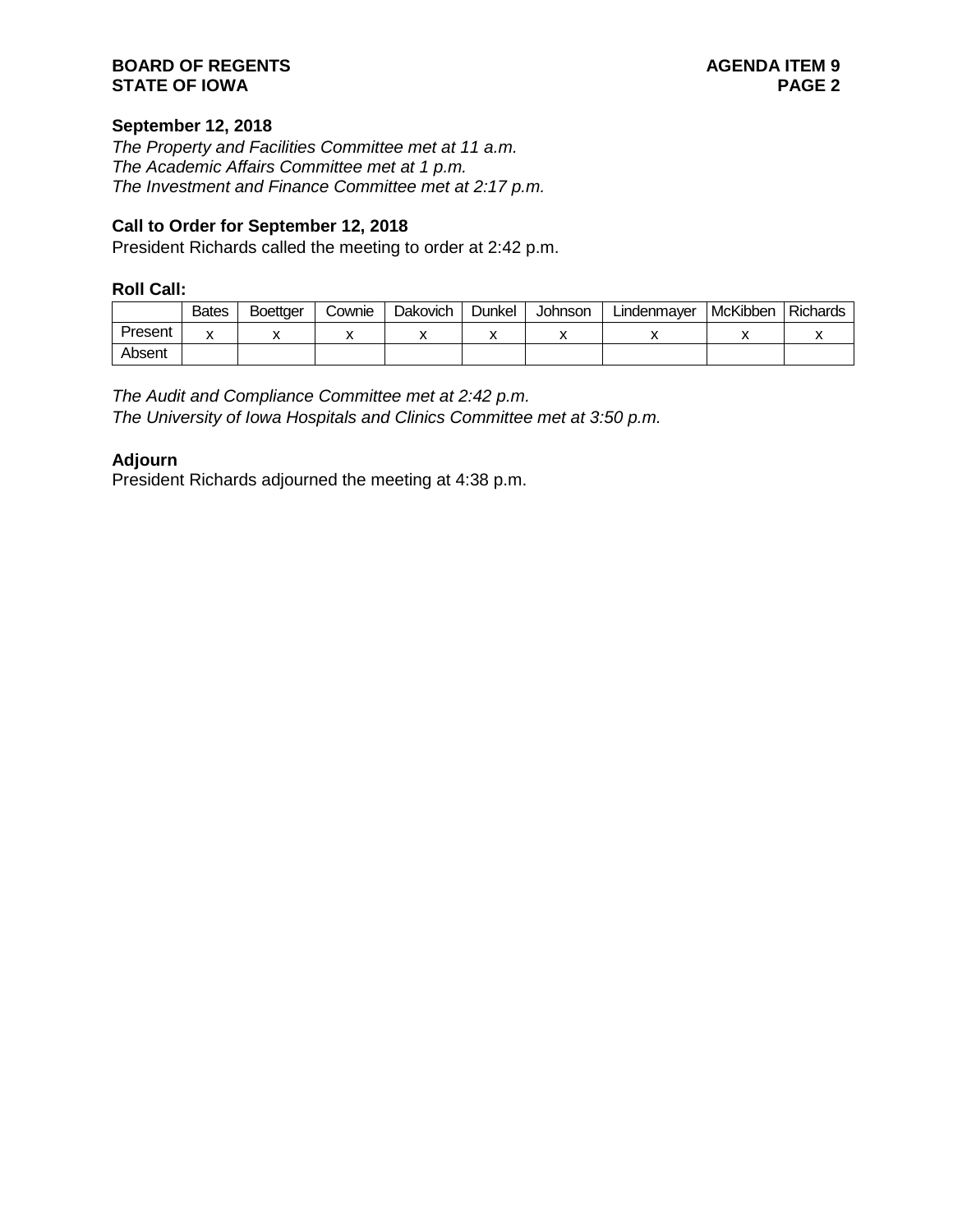### **BOARD OF REGENTS**<br> **BOARD OF REGENTS**<br> **BOARD OF IOWA**<br> **BOARD OF IOWA STATE OF IOWA**

# **September 12, 2018**

*The Property and Facilities Committee met at 11 a.m. The Academic Affairs Committee met at 1 p.m. The Investment and Finance Committee met at 2:17 p.m.*

### **Call to Order for September 12, 2018**

President Richards called the meeting to order at 2:42 p.m.

### **Roll Call:**

|         | <b>Bates</b> | <b>Boettger</b> | Cownie | Dakovich | Dunkel | Johnson | Lindenmayer | McKibben | <b>Richards</b> |
|---------|--------------|-----------------|--------|----------|--------|---------|-------------|----------|-----------------|
| Present |              |                 |        |          |        |         |             |          |                 |
| Absent  |              |                 |        |          |        |         |             |          |                 |

# *The Audit and Compliance Committee met at 2:42 p.m.*

*The University of Iowa Hospitals and Clinics Committee met at 3:50 p.m.*

### **Adjourn**

President Richards adjourned the meeting at 4:38 p.m.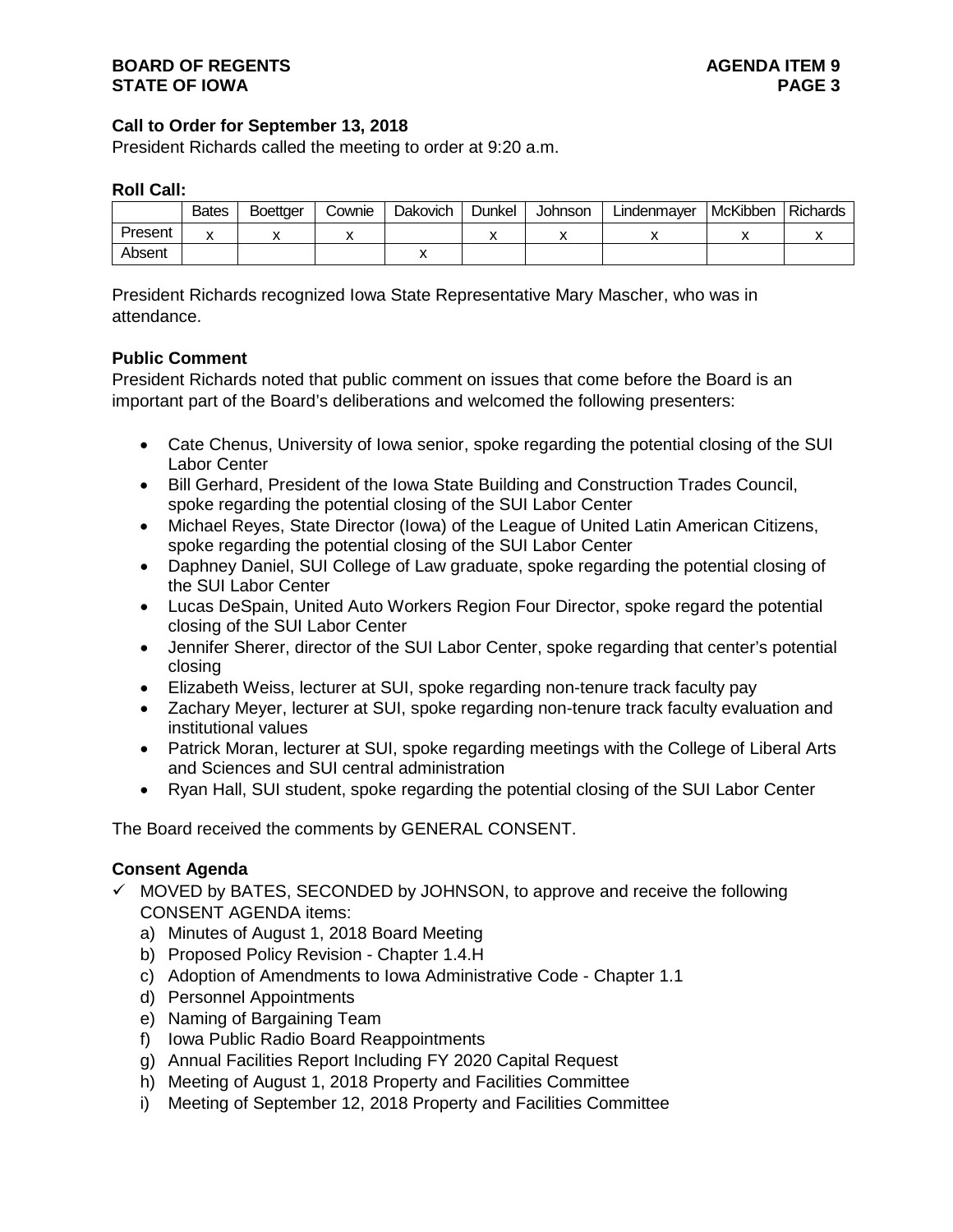### **Call to Order for September 13, 2018**

President Richards called the meeting to order at 9:20 a.m.

### **Roll Call:**

|         | <b>Bates</b> | Boettger | Cownie | <b>Dakovich</b> | Dunkel | <b>Johnson</b> | Lindenmayer | McKibben | <b>Richards</b> |
|---------|--------------|----------|--------|-----------------|--------|----------------|-------------|----------|-----------------|
| Present |              |          |        |                 |        |                |             |          |                 |
| Absent  |              |          |        |                 |        |                |             |          |                 |

President Richards recognized Iowa State Representative Mary Mascher, who was in attendance.

# **Public Comment**

President Richards noted that public comment on issues that come before the Board is an important part of the Board's deliberations and welcomed the following presenters:

- Cate Chenus, University of Iowa senior, spoke regarding the potential closing of the SUI Labor Center
- Bill Gerhard, President of the Iowa State Building and Construction Trades Council, spoke regarding the potential closing of the SUI Labor Center
- Michael Reyes, State Director (Iowa) of the League of United Latin American Citizens, spoke regarding the potential closing of the SUI Labor Center
- Daphney Daniel, SUI College of Law graduate, spoke regarding the potential closing of the SUI Labor Center
- Lucas DeSpain, United Auto Workers Region Four Director, spoke regard the potential closing of the SUI Labor Center
- Jennifer Sherer, director of the SUI Labor Center, spoke regarding that center's potential closing
- Elizabeth Weiss, lecturer at SUI, spoke regarding non-tenure track faculty pay
- Zachary Meyer, lecturer at SUI, spoke regarding non-tenure track faculty evaluation and institutional values
- Patrick Moran, lecturer at SUI, spoke regarding meetings with the College of Liberal Arts and Sciences and SUI central administration
- Ryan Hall, SUI student, spoke regarding the potential closing of the SUI Labor Center

The Board received the comments by GENERAL CONSENT.

# **Consent Agenda**

- $\checkmark$  MOVED by BATES, SECONDED by JOHNSON, to approve and receive the following CONSENT AGENDA items:
	- a) Minutes of August 1, 2018 Board Meeting
	- b) Proposed Policy Revision Chapter 1.4.H
	- c) Adoption of Amendments to Iowa Administrative Code Chapter 1.1
	- d) Personnel Appointments
	- e) Naming of Bargaining Team
	- f) Iowa Public Radio Board Reappointments
	- g) Annual Facilities Report Including FY 2020 Capital Request
	- h) Meeting of August 1, 2018 Property and Facilities Committee
	- i) Meeting of September 12, 2018 Property and Facilities Committee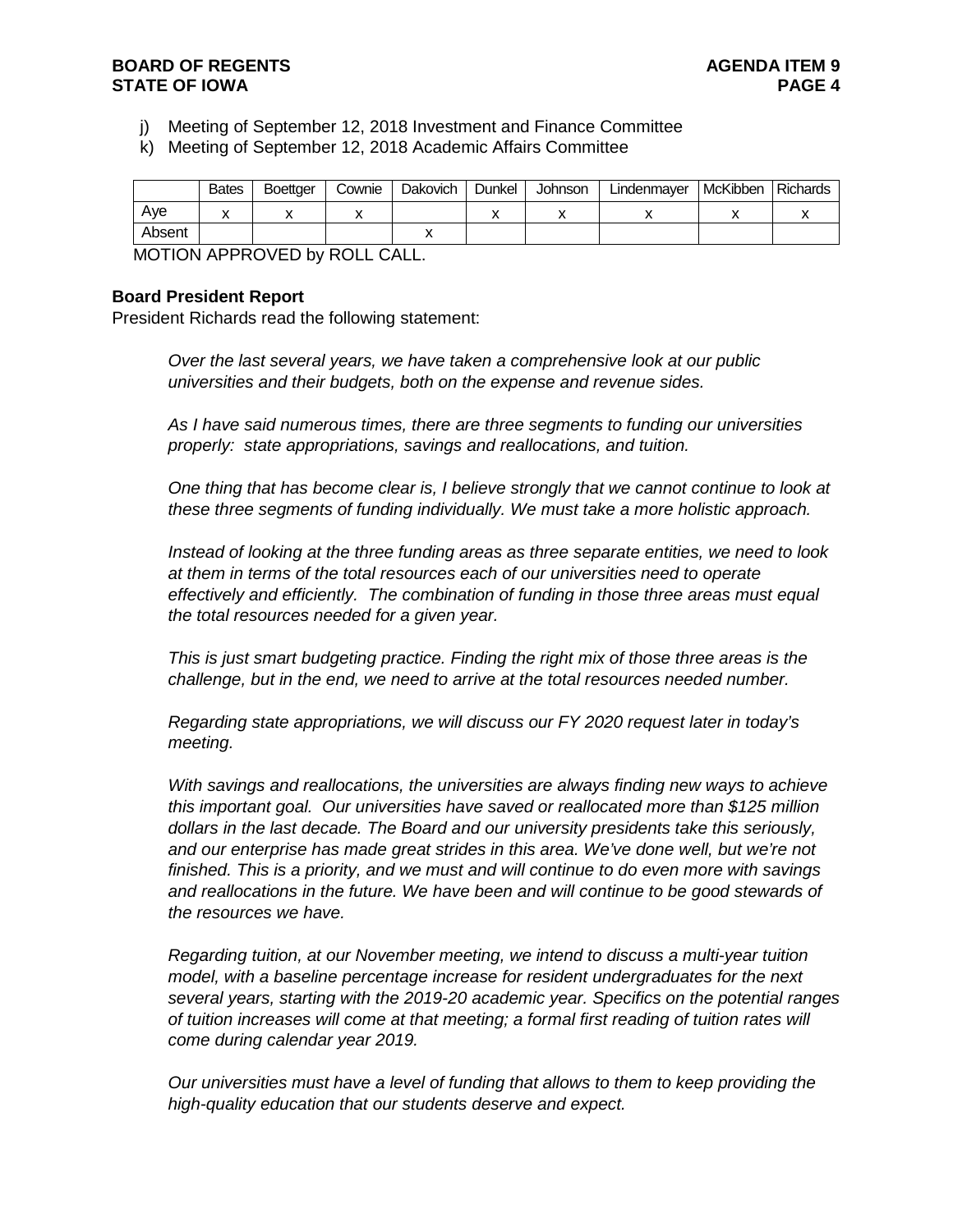- j) Meeting of September 12, 2018 Investment and Finance Committee
- k) Meeting of September 12, 2018 Academic Affairs Committee

|        | <b>Bates</b> | <b>Boettger</b> | Cownie | Dakovich | Dunkel | Johnson | Lindenmayer | McKibben | Richards |
|--------|--------------|-----------------|--------|----------|--------|---------|-------------|----------|----------|
| Ave    |              |                 |        |          |        |         |             |          |          |
| Absent |              |                 |        |          |        |         |             |          |          |

MOTION APPROVED by ROLL CALL.

#### **Board President Report**

President Richards read the following statement:

*Over the last several years, we have taken a comprehensive look at our public universities and their budgets, both on the expense and revenue sides.*

*As I have said numerous times, there are three segments to funding our universities properly: state appropriations, savings and reallocations, and tuition.*

*One thing that has become clear is, I believe strongly that we cannot continue to look at these three segments of funding individually. We must take a more holistic approach.*

*Instead of looking at the three funding areas as three separate entities, we need to look at them in terms of the total resources each of our universities need to operate effectively and efficiently. The combination of funding in those three areas must equal the total resources needed for a given year.*

*This is just smart budgeting practice. Finding the right mix of those three areas is the challenge, but in the end, we need to arrive at the total resources needed number.*

*Regarding state appropriations, we will discuss our FY 2020 request later in today's meeting.*

*With savings and reallocations, the universities are always finding new ways to achieve this important goal. Our universities have saved or reallocated more than \$125 million dollars in the last decade. The Board and our university presidents take this seriously, and our enterprise has made great strides in this area. We've done well, but we're not finished. This is a priority, and we must and will continue to do even more with savings and reallocations in the future. We have been and will continue to be good stewards of the resources we have.*

*Regarding tuition, at our November meeting, we intend to discuss a multi-year tuition model, with a baseline percentage increase for resident undergraduates for the next several years, starting with the 2019-20 academic year. Specifics on the potential ranges of tuition increases will come at that meeting; a formal first reading of tuition rates will come during calendar year 2019.*

*Our universities must have a level of funding that allows to them to keep providing the high-quality education that our students deserve and expect.*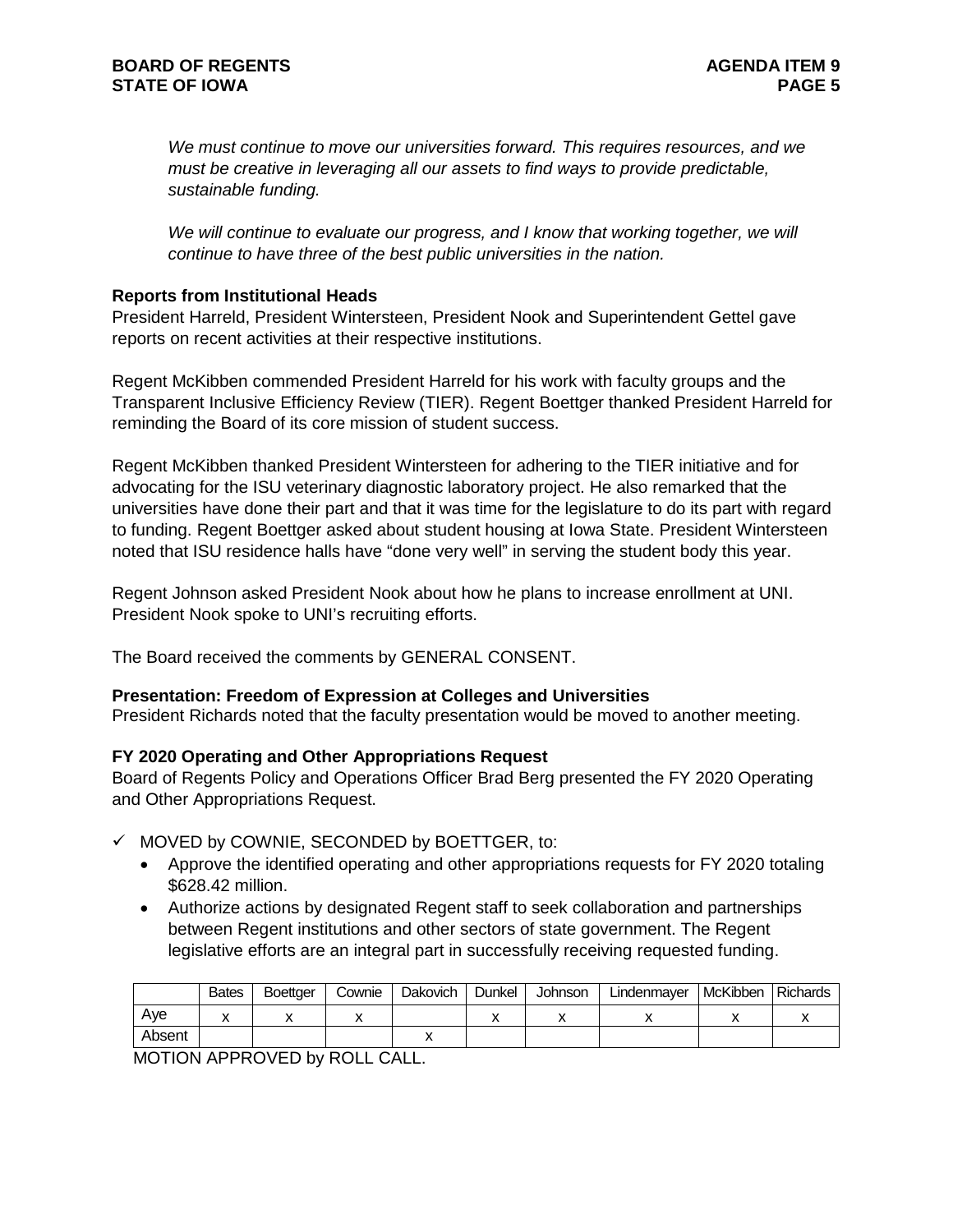*We must continue to move our universities forward. This requires resources, and we must be creative in leveraging all our assets to find ways to provide predictable, sustainable funding.*

We will continue to evaluate our progress, and I know that working together, we will *continue to have three of the best public universities in the nation.*

### **Reports from Institutional Heads**

President Harreld, President Wintersteen, President Nook and Superintendent Gettel gave reports on recent activities at their respective institutions.

Regent McKibben commended President Harreld for his work with faculty groups and the Transparent Inclusive Efficiency Review (TIER). Regent Boettger thanked President Harreld for reminding the Board of its core mission of student success.

Regent McKibben thanked President Wintersteen for adhering to the TIER initiative and for advocating for the ISU veterinary diagnostic laboratory project. He also remarked that the universities have done their part and that it was time for the legislature to do its part with regard to funding. Regent Boettger asked about student housing at Iowa State. President Wintersteen noted that ISU residence halls have "done very well" in serving the student body this year.

Regent Johnson asked President Nook about how he plans to increase enrollment at UNI. President Nook spoke to UNI's recruiting efforts.

The Board received the comments by GENERAL CONSENT.

### **Presentation: Freedom of Expression at Colleges and Universities**

President Richards noted that the faculty presentation would be moved to another meeting.

# **FY 2020 Operating and Other Appropriations Request**

Board of Regents Policy and Operations Officer Brad Berg presented the FY 2020 Operating and Other Appropriations Request.

- $\checkmark$  MOVED by COWNIE, SECONDED by BOETTGER, to:
	- Approve the identified operating and other appropriations requests for FY 2020 totaling \$628.42 million.
	- Authorize actions by designated Regent staff to seek collaboration and partnerships between Regent institutions and other sectors of state government. The Regent legislative efforts are an integral part in successfully receiving requested funding.

|        | <b>Bates</b> | <b>Boettger</b> | Cownie | Dakovich | Dunkel | Johnson | Lindenmayer | McKibben | <b>Richards</b> |
|--------|--------------|-----------------|--------|----------|--------|---------|-------------|----------|-----------------|
| Ave    |              |                 |        |          |        |         |             |          |                 |
| Absent |              |                 |        |          |        |         |             |          |                 |

MOTION APPROVED by ROLL CALL.